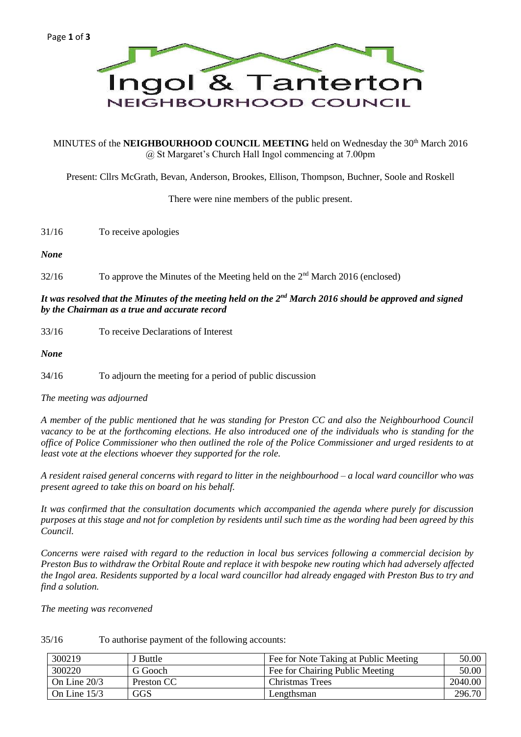

MINUTES of the **NEIGHBOURHOOD COUNCIL MEETING** held on Wednesday the 30<sup>th</sup> March 2016 @ St Margaret's Church Hall Ingol commencing at 7.00pm

Present: Cllrs McGrath, Bevan, Anderson, Brookes, Ellison, Thompson, Buchner, Soole and Roskell

There were nine members of the public present.

*None*

32/16 To approve the Minutes of the Meeting held on the 2<sup>nd</sup> March 2016 (enclosed)

# *It was resolved that the Minutes of the meeting held on the 2nd March 2016 should be approved and signed by the Chairman as a true and accurate record*

33/16 To receive Declarations of Interest

*None*

34/16 To adjourn the meeting for a period of public discussion

*The meeting was adjourned*

*A member of the public mentioned that he was standing for Preston CC and also the Neighbourhood Council vacancy to be at the forthcoming elections. He also introduced one of the individuals who is standing for the office of Police Commissioner who then outlined the role of the Police Commissioner and urged residents to at least vote at the elections whoever they supported for the role.*

*A resident raised general concerns with regard to litter in the neighbourhood – a local ward councillor who was present agreed to take this on board on his behalf.*

*It was confirmed that the consultation documents which accompanied the agenda where purely for discussion purposes at this stage and not for completion by residents until such time as the wording had been agreed by this Council.*

*Concerns were raised with regard to the reduction in local bus services following a commercial decision by Preston Bus to withdraw the Orbital Route and replace it with bespoke new routing which had adversely affected the Ingol area. Residents supported by a local ward councillor had already engaged with Preston Bus to try and find a solution.*

*The meeting was reconvened*

35/16 To authorise payment of the following accounts:

| 300219         | J Buttle   | Fee for Note Taking at Public Meeting | 50.00   |
|----------------|------------|---------------------------------------|---------|
| 300220         | G Gooch    | Fee for Chairing Public Meeting       | 50.00   |
| On Line $20/3$ | Preston CC | Christmas Trees                       | 2040.00 |
| On Line $15/3$ | <b>GGS</b> | Lengthsman                            | 296.70  |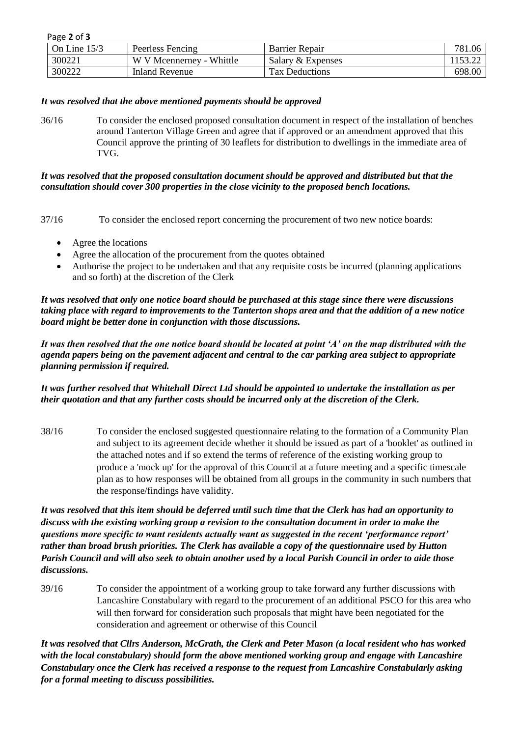| Page 2 of 3    |                          |                       |         |
|----------------|--------------------------|-----------------------|---------|
| On Line $15/3$ | Peerless Fencing         | <b>Barrier Repair</b> | 781.06  |
| 300221         | W V Mcennerney - Whittle | Salary & Expenses     | 1153.22 |
| 300222         | Inland Revenue           | <b>Tax Deductions</b> | 698.00  |

### *It was resolved that the above mentioned payments should be approved*

36/16 To consider the enclosed proposed consultation document in respect of the installation of benches around Tanterton Village Green and agree that if approved or an amendment approved that this Council approve the printing of 30 leaflets for distribution to dwellings in the immediate area of TVG.

#### *It was resolved that the proposed consultation document should be approved and distributed but that the consultation should cover 300 properties in the close vicinity to the proposed bench locations.*

37/16 To consider the enclosed report concerning the procurement of two new notice boards:

- Agree the locations
- Agree the allocation of the procurement from the quotes obtained
- Authorise the project to be undertaken and that any requisite costs be incurred (planning applications and so forth) at the discretion of the Clerk

*It was resolved that only one notice board should be purchased at this stage since there were discussions taking place with regard to improvements to the Tanterton shops area and that the addition of a new notice board might be better done in conjunction with those discussions.*

*It was then resolved that the one notice board should be located at point 'A' on the map distributed with the agenda papers being on the pavement adjacent and central to the car parking area subject to appropriate planning permission if required.*

*It was further resolved that Whitehall Direct Ltd should be appointed to undertake the installation as per their quotation and that any further costs should be incurred only at the discretion of the Clerk.*

38/16 To consider the enclosed suggested questionnaire relating to the formation of a Community Plan and subject to its agreement decide whether it should be issued as part of a 'booklet' as outlined in the attached notes and if so extend the terms of reference of the existing working group to produce a 'mock up' for the approval of this Council at a future meeting and a specific timescale plan as to how responses will be obtained from all groups in the community in such numbers that the response/findings have validity.

*It was resolved that this item should be deferred until such time that the Clerk has had an opportunity to discuss with the existing working group a revision to the consultation document in order to make the questions more specific to want residents actually want as suggested in the recent 'performance report' rather than broad brush priorities. The Clerk has available a copy of the questionnaire used by Hutton Parish Council and will also seek to obtain another used by a local Parish Council in order to aide those discussions.*

39/16 To consider the appointment of a working group to take forward any further discussions with Lancashire Constabulary with regard to the procurement of an additional PSCO for this area who will then forward for consideration such proposals that might have been negotiated for the consideration and agreement or otherwise of this Council

*It was resolved that Cllrs Anderson, McGrath, the Clerk and Peter Mason (a local resident who has worked with the local constabulary) should form the above mentioned working group and engage with Lancashire Constabulary once the Clerk has received a response to the request from Lancashire Constabularly asking for a formal meeting to discuss possibilities.*